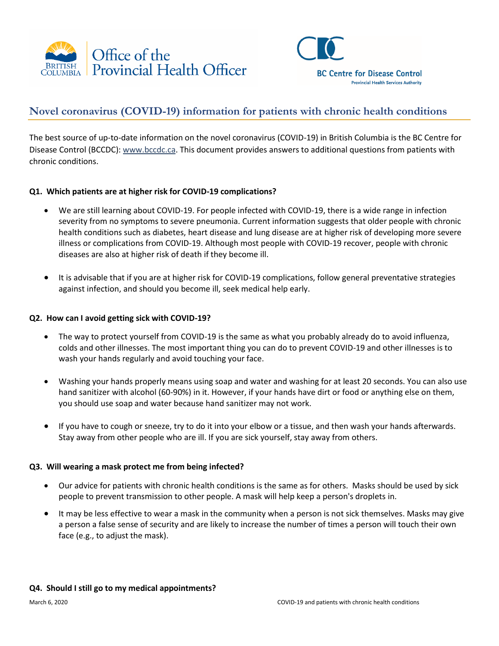



# **Novel coronavirus (COVID-19) information for patients with chronic health conditions**

The best source of up-to-date information on the novel coronavirus (COVID-19) in British Columbia is the BC Centre for Disease Control (BCCDC): [www.bccdc.ca.](http://www.bccdc.ca/) This document provides answers to additional questions from patients with chronic conditions.

## **Q1. Which patients are at higher risk for COVID-19 complications?**

- We are still learning about COVID-19. For people infected with COVID-19, there is a wide range in infection severity from no symptoms to severe pneumonia. Current information suggests that older people with chronic health conditions such as diabetes, heart disease and lung disease are at higher risk of developing more severe illness or complications from COVID-19. Although most people with COVID-19 recover, people with chronic diseases are also at higher risk of death if they become ill.
- It is advisable that if you are at higher risk for COVID-19 complications, follow general preventative strategies against infection, and should you become ill, seek medical help early.

### **Q2. How can I avoid getting sick with COVID-19?**

- The way to protect yourself from COVID-19 is the same as what you probably already do to avoid influenza, colds and other illnesses. The most important thing you can do to prevent COVID-19 and other illnesses is to wash your hands regularly and avoid touching your face.
- Washing your hands properly means using soap and water and washing for at least 20 seconds. You can also use hand sanitizer with alcohol (60-90%) in it. However, if your hands have dirt or food or anything else on them, you should use soap and water because hand sanitizer may not work.
- If you have to cough or sneeze, try to do it into your elbow or a tissue, and then wash your hands afterwards. Stay away from other people who are ill. If you are sick yourself, stay away from others.

## **Q3. Will wearing a mask protect me from being infected?**

- Our advice for patients with chronic health conditions is the same as for others. Masks should be used by sick people to prevent transmission to other people. A mask will help keep a person's droplets in.
- It may be less effective to wear a mask in the community when a person is not sick themselves. Masks may give a person a false sense of security and are likely to increase the number of times a person will touch their own face (e.g., to adjust the mask).